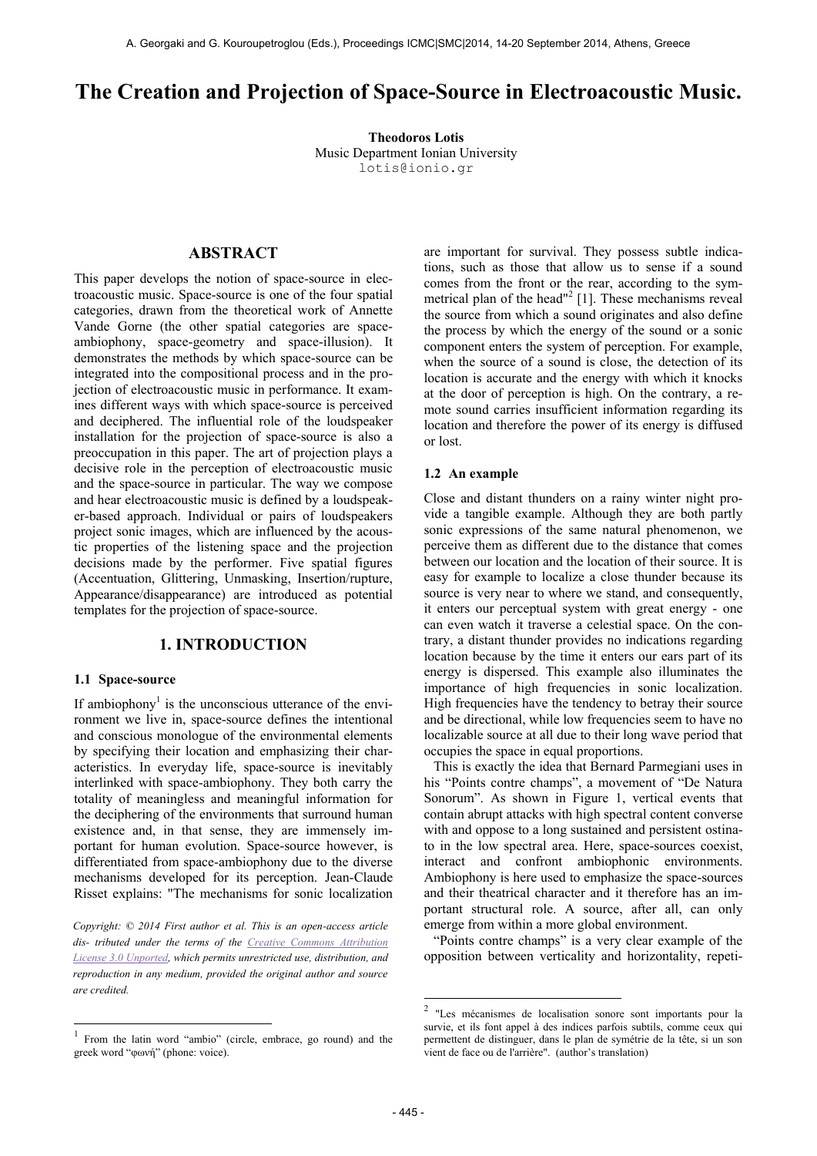# **The Creation and Projection of Space-Source in Electroacoustic Music.**

**Theodoros Lotis** Music Department Ionian University [lotis@ionio.gr](mailto:author2@smcnetwork.org)

## **ABSTRACT**

This paper develops the notion of space-source in electroacoustic music. Space-source is one of the four spatial categories, drawn from the theoretical work of Annette Vande Gorne (the other spatial categories are spaceambiophony, space-geometry and space-illusion). It demonstrates the methods by which space-source can be integrated into the compositional process and in the projection of electroacoustic music in performance. It examines different ways with which space-source is perceived and deciphered. The influential role of the loudspeaker installation for the projection of space-source is also a preoccupation in this paper. The art of projection plays a decisive role in the perception of electroacoustic music and the space-source in particular. The way we compose and hear electroacoustic music is defined by a loudspeaker-based approach. Individual or pairs of loudspeakers project sonic images, which are influenced by the acoustic properties of the listening space and the projection decisions made by the performer. Five spatial figures (Accentuation, Glittering, Unmasking, Insertion/rupture, Appearance/disappearance) are introduced as potential templates for the projection of space-source.

## **1. INTRODUCTION**

### **1.1 Space-source**

If ambiophony<sup>1</sup> is the unconscious utterance of the environment we live in, space-source defines the intentional and conscious monologue of the environmental elements by specifying their location and emphasizing their characteristics. In everyday life, space-source is inevitably interlinked with space-ambiophony. They both carry the totality of meaningless and meaningful information for the deciphering of the environments that surround human existence and, in that sense, they are immensely important for human evolution. Space-source however, is differentiated from space-ambiophony due to the diverse mechanisms developed for its perception. Jean-Claude Risset explains: "The mechanisms for sonic localization

*Copyright: © 2014 First author et al. This is an open-access article dis- tributed under the terms of the [Creative Commons Attribution](http://creativecommons.org/licenses/by/3.0/)  [License 3.0 Unported,](http://creativecommons.org/licenses/by/3.0/) which permits unrestricted use, distribution, and reproduction in any medium, provided the original author and source are credited.*

are important for survival. They possess subtle indications, such as those that allow us to sense if a sound comes from the front or the rear, according to the symmetrical plan of the head"<sup>2</sup> [1]. These mechanisms reveal the source from which a sound originates and also define the process by which the energy of the sound or a sonic component enters the system of perception. For example, when the source of a sound is close, the detection of its location is accurate and the energy with which it knocks at the door of perception is high. On the contrary, a remote sound carries insufficient information regarding its location and therefore the power of its energy is diffused or lost.

#### **1.2 An example**

Close and distant thunders on a rainy winter night provide a tangible example. Although they are both partly sonic expressions of the same natural phenomenon, we perceive them as different due to the distance that comes between our location and the location of their source. It is easy for example to localize a close thunder because its source is very near to where we stand, and consequently, it enters our perceptual system with great energy - one can even watch it traverse a celestial space. On the contrary, a distant thunder provides no indications regarding location because by the time it enters our ears part of its energy is dispersed. This example also illuminates the importance of high frequencies in sonic localization. High frequencies have the tendency to betray their source and be directional, while low frequencies seem to have no localizable source at all due to their long wave period that occupies the space in equal proportions.

This is exactly the idea that Bernard Parmegiani uses in his "Points contre champs", a movement of "De Natura Sonorum". As shown in Figure 1, vertical events that contain abrupt attacks with high spectral content converse with and oppose to a long sustained and persistent ostinato in the low spectral area. Here, space-sources coexist, interact and confront ambiophonic environments. Ambiophony is here used to emphasize the space-sources and their theatrical character and it therefore has an important structural role. A source, after all, can only emerge from within a more global environment.

"Points contre champs" is a very clear example of the opposition between verticality and horizontality, repeti-

<sup>|&</sup>lt;br>| From the latin word "ambio" (circle, embrace, go round) and the greek word "φωνή" (phone: voice).

 2 "Les mécanismes de localisation sonore sont importants pour la survie, et ils font appel à des indices parfois subtils, comme ceux qui permettent de distinguer, dans le plan de symétrie de la tête, si un son vient de face ou de l'arrière". (author's translation)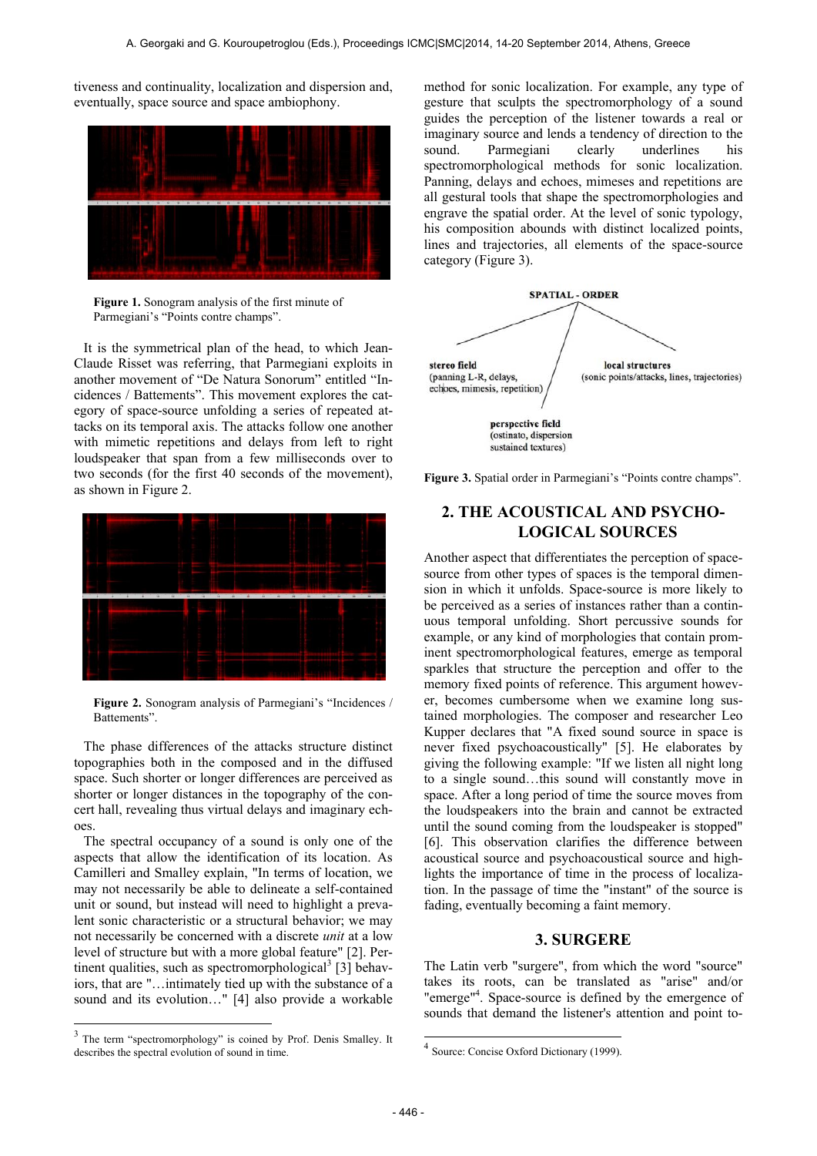tiveness and continuality, localization and dispersion and, eventually, space source and space ambiophony.



**Figure 1.** Sonogram analysis of the first minute of Parmegiani's "Points contre champs".

It is the symmetrical plan of the head, to which Jean-Claude Risset was referring, that Parmegiani exploits in another movement of "De Natura Sonorum" entitled "Incidences / Battements". This movement explores the category of space-source unfolding a series of repeated attacks on its temporal axis. The attacks follow one another with mimetic repetitions and delays from left to right loudspeaker that span from a few milliseconds over to two seconds (for the first 40 seconds of the movement), as shown in Figure 2.



**Figure 2.** Sonogram analysis of Parmegiani's "Incidences / Battements".

The phase differences of the attacks structure distinct topographies both in the composed and in the diffused space. Such shorter or longer differences are perceived as shorter or longer distances in the topography of the concert hall, revealing thus virtual delays and imaginary echoes.

The spectral occupancy of a sound is only one of the aspects that allow the identification of its location. As Camilleri and Smalley explain, "In terms of location, we may not necessarily be able to delineate a self-contained unit or sound, but instead will need to highlight a prevalent sonic characteristic or a structural behavior; we may not necessarily be concerned with a discrete *unit* at a low level of structure but with a more global feature" [2]. Pertinent qualities, such as spectromorphological<sup>3</sup> [3] behaviors, that are "…intimately tied up with the substance of a sound and its evolution…" [4] also provide a workable

-

method for sonic localization. For example, any type of gesture that sculpts the spectromorphology of a sound guides the perception of the listener towards a real or imaginary source and lends a tendency of direction to the sound. Parmegiani clearly underlines his spectromorphological methods for sonic localization. Panning, delays and echoes, mimeses and repetitions are all gestural tools that shape the spectromorphologies and engrave the spatial order. At the level of sonic typology, his composition abounds with distinct localized points, lines and trajectories, all elements of the space-source category (Figure 3).



**Figure 3.** Spatial order in Parmegiani's "Points contre champs".

## **2. THE ACOUSTICAL AND PSYCHO-LOGICAL SOURCES**

Another aspect that differentiates the perception of spacesource from other types of spaces is the temporal dimension in which it unfolds. Space-source is more likely to be perceived as a series of instances rather than a continuous temporal unfolding. Short percussive sounds for example, or any kind of morphologies that contain prominent spectromorphological features, emerge as temporal sparkles that structure the perception and offer to the memory fixed points of reference. This argument however, becomes cumbersome when we examine long sustained morphologies. The composer and researcher Leo Kupper declares that "A fixed sound source in space is never fixed psychoacoustically" [5]. He elaborates by giving the following example: "If we listen all night long to a single sound…this sound will constantly move in space. After a long period of time the source moves from the loudspeakers into the brain and cannot be extracted until the sound coming from the loudspeaker is stopped" [6]. This observation clarifies the difference between acoustical source and psychoacoustical source and highlights the importance of time in the process of localization. In the passage of time the "instant" of the source is fading, eventually becoming a faint memory.

## **3. SURGERE**

The Latin verb "surgere", from which the word "source" takes its roots, can be translated as "arise" and/or "emerge"<sup>4</sup>. Space-source is defined by the emergence of sounds that demand the listener's attention and point to-

<sup>&</sup>lt;sup>3</sup> The term "spectromorphology" is coined by Prof. Denis Smalley. It describes the spectral evolution of sound in time.

 4 Source: Concise Oxford Dictionary (1999).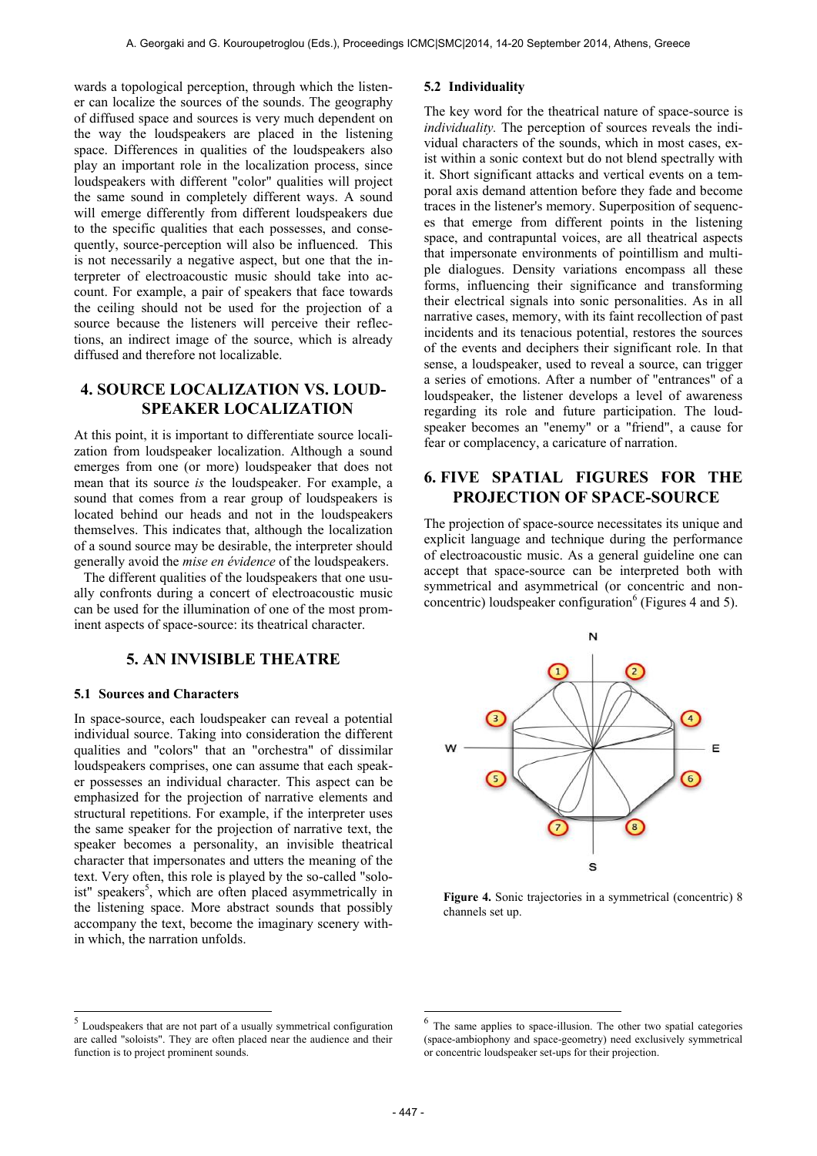wards a topological perception, through which the listener can localize the sources of the sounds. The geography of diffused space and sources is very much dependent on the way the loudspeakers are placed in the listening space. Differences in qualities of the loudspeakers also play an important role in the localization process, since loudspeakers with different "color" qualities will project the same sound in completely different ways. A sound will emerge differently from different loudspeakers due to the specific qualities that each possesses, and consequently, source-perception will also be influenced. This is not necessarily a negative aspect, but one that the interpreter of electroacoustic music should take into account. For example, a pair of speakers that face towards the ceiling should not be used for the projection of a source because the listeners will perceive their reflections, an indirect image of the source, which is already diffused and therefore not localizable.

## **4. SOURCE LOCALIZATION VS. LOUD-SPEAKER LOCALIZATION**

At this point, it is important to differentiate source localization from loudspeaker localization. Although a sound emerges from one (or more) loudspeaker that does not mean that its source *is* the loudspeaker. For example, a sound that comes from a rear group of loudspeakers is located behind our heads and not in the loudspeakers themselves. This indicates that, although the localization of a sound source may be desirable, the interpreter should generally avoid the *mise en évidence* of the loudspeakers.

The different qualities of the loudspeakers that one usually confronts during a concert of electroacoustic music can be used for the illumination of one of the most prominent aspects of space-source: its theatrical character.

## **5. AN INVISIBLE THEATRE**

### **5.1 Sources and Characters**

In space-source, each loudspeaker can reveal a potential individual source. Taking into consideration the different qualities and "colors" that an "orchestra" of dissimilar loudspeakers comprises, one can assume that each speaker possesses an individual character. This aspect can be emphasized for the projection of narrative elements and structural repetitions. For example, if the interpreter uses the same speaker for the projection of narrative text, the speaker becomes a personality, an invisible theatrical character that impersonates and utters the meaning of the text. Very often, this role is played by the so-called "soloist" speakers<sup>5</sup>, which are often placed asymmetrically in the listening space. More abstract sounds that possibly accompany the text, become the imaginary scenery within which, the narration unfolds.

### **5.2 Individuality**

The key word for the theatrical nature of space-source is *individuality*. The perception of sources reveals the individual characters of the sounds, which in most cases, exist within a sonic context but do not blend spectrally with it. Short significant attacks and vertical events on a temporal axis demand attention before they fade and become traces in the listener's memory. Superposition of sequences that emerge from different points in the listening space, and contrapuntal voices, are all theatrical aspects that impersonate environments of pointillism and multiple dialogues. Density variations encompass all these forms, influencing their significance and transforming their electrical signals into sonic personalities. As in all narrative cases, memory, with its faint recollection of past incidents and its tenacious potential, restores the sources of the events and deciphers their significant role. In that sense, a loudspeaker, used to reveal a source, can trigger a series of emotions. After a number of "entrances" of a loudspeaker, the listener develops a level of awareness regarding its role and future participation. The loudspeaker becomes an "enemy" or a "friend", a cause for fear or complacency, a caricature of narration.

## **6. FIVE SPATIAL FIGURES FOR THE PROJECTION OF SPACE-SOURCE**

The projection of space-source necessitates its unique and explicit language and technique during the performance of electroacoustic music. As a general guideline one can accept that space-source can be interpreted both with symmetrical and asymmetrical (or concentric and nonconcentric) loudspeaker configuration<sup>6</sup> (Figures 4 and 5).



**Figure 4.** Sonic trajectories in a symmetrical (concentric) 8 channels set up.

**.** 

 $\frac{5}{5}$  Loudspeakers that are not part of a usually symmetrical configuration are called "soloists". They are often placed near the audience and their function is to project prominent sounds.

<sup>6</sup> The same applies to space-illusion. The other two spatial categories (space-ambiophony and space-geometry) need exclusively symmetrical or concentric loudspeaker set-ups for their projection.